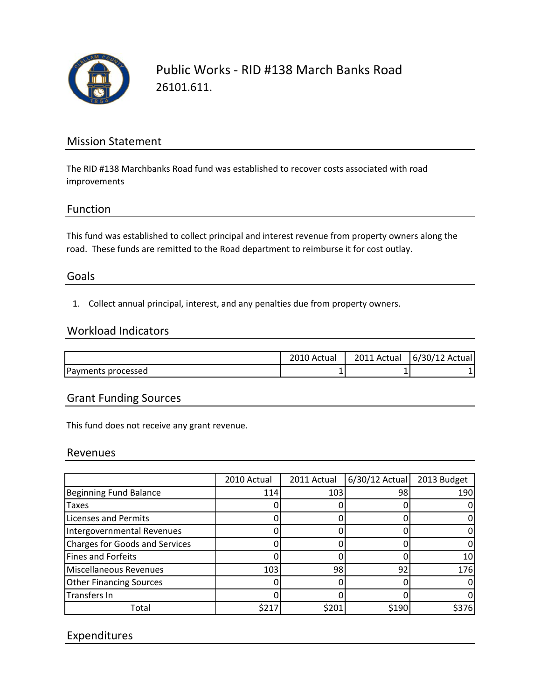

Public Works ‐ RID #138 March Banks Road 26101.611.

# Mission Statement

The RID #138 Marchbanks Road fund was established to recover costs associated with road improvements

### Function

This fund was established to collect principal and interest revenue from property owners along the road. These funds are remitted to the Road department to reimburse it for cost outlay.

## Goals

1. Collect annual principal, interest, and any penalties due from property owners.

### Workload Indicators

|                    | . Actual | 2011 Actual | 6/30/12 Actual |
|--------------------|----------|-------------|----------------|
| Payments processed | <b>.</b> |             |                |

## Grant Funding Sources

This fund does not receive any grant revenue.

#### Revenues

|                                | 2010 Actual | 2011 Actual | 6/30/12 Actual | 2013 Budget |
|--------------------------------|-------------|-------------|----------------|-------------|
| <b>Beginning Fund Balance</b>  | 114         | 103         | 98             | 190         |
| Taxes                          |             |             |                |             |
| <b>Licenses and Permits</b>    |             |             |                |             |
| Intergovernmental Revenues     |             |             |                |             |
| Charges for Goods and Services |             |             |                |             |
| Fines and Forfeits             |             |             |                | 10          |
| Miscellaneous Revenues         | 103         | 98          | 92             | 176         |
| <b>Other Financing Sources</b> |             |             |                |             |
| Transfers In                   |             |             |                |             |
| Total                          | \$217       | \$201       | \$190          | \$376       |

## Expenditures